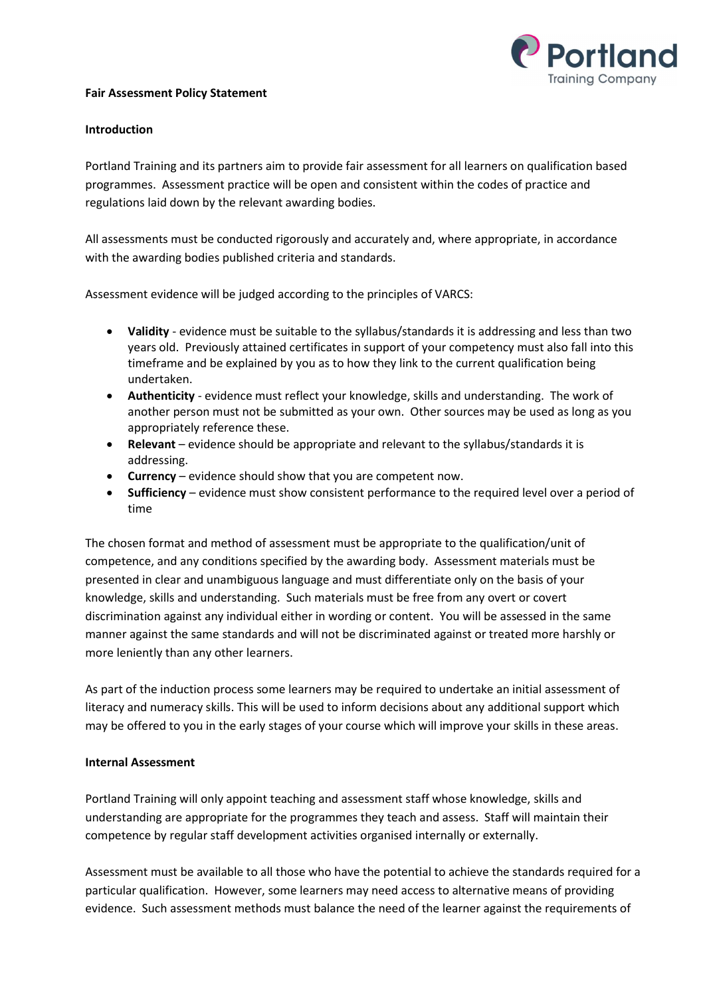

## Fair Assessment Policy Statement

## Introduction

Portland Training and its partners aim to provide fair assessment for all learners on qualification based programmes. Assessment practice will be open and consistent within the codes of practice and regulations laid down by the relevant awarding bodies.

All assessments must be conducted rigorously and accurately and, where appropriate, in accordance with the awarding bodies published criteria and standards.

Assessment evidence will be judged according to the principles of VARCS:

- Validity evidence must be suitable to the syllabus/standards it is addressing and less than two years old. Previously attained certificates in support of your competency must also fall into this timeframe and be explained by you as to how they link to the current qualification being undertaken.
- Authenticity evidence must reflect your knowledge, skills and understanding. The work of another person must not be submitted as your own. Other sources may be used as long as you appropriately reference these.
- Relevant evidence should be appropriate and relevant to the syllabus/standards it is addressing.
- Currency evidence should show that you are competent now.
- Sufficiency evidence must show consistent performance to the required level over a period of time

The chosen format and method of assessment must be appropriate to the qualification/unit of competence, and any conditions specified by the awarding body. Assessment materials must be presented in clear and unambiguous language and must differentiate only on the basis of your knowledge, skills and understanding. Such materials must be free from any overt or covert discrimination against any individual either in wording or content. You will be assessed in the same manner against the same standards and will not be discriminated against or treated more harshly or more leniently than any other learners.

As part of the induction process some learners may be required to undertake an initial assessment of literacy and numeracy skills. This will be used to inform decisions about any additional support which may be offered to you in the early stages of your course which will improve your skills in these areas.

# Internal Assessment

Portland Training will only appoint teaching and assessment staff whose knowledge, skills and understanding are appropriate for the programmes they teach and assess. Staff will maintain their competence by regular staff development activities organised internally or externally.

Assessment must be available to all those who have the potential to achieve the standards required for a particular qualification. However, some learners may need access to alternative means of providing evidence. Such assessment methods must balance the need of the learner against the requirements of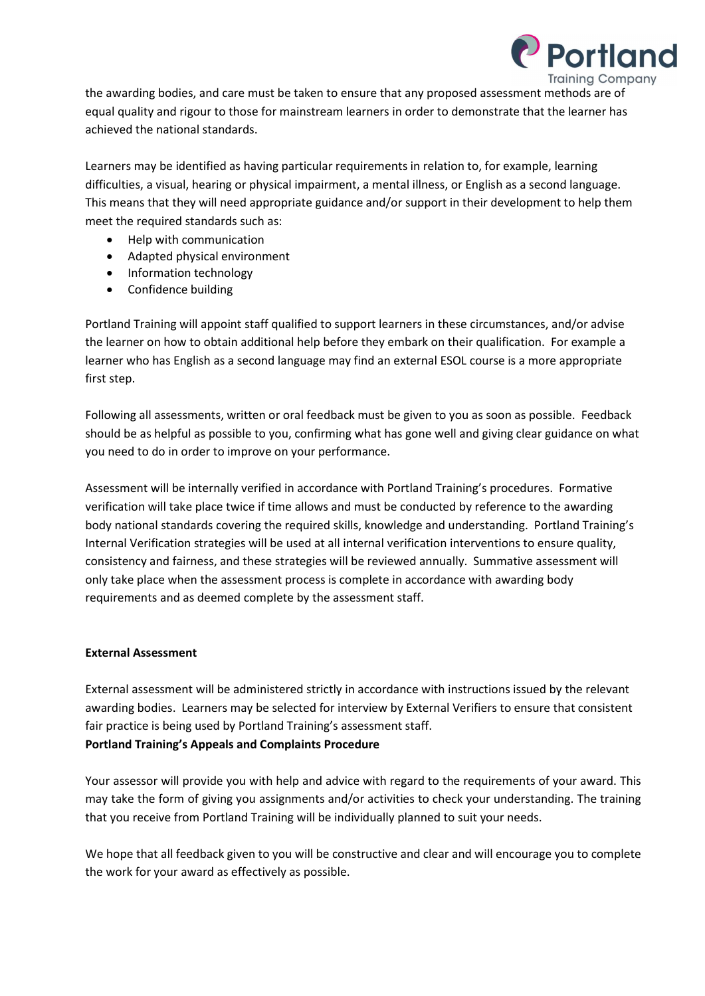

the awarding bodies, and care must be taken to ensure that any proposed assessment methods are of equal quality and rigour to those for mainstream learners in order to demonstrate that the learner has achieved the national standards.

Learners may be identified as having particular requirements in relation to, for example, learning difficulties, a visual, hearing or physical impairment, a mental illness, or English as a second language. This means that they will need appropriate guidance and/or support in their development to help them meet the required standards such as:

- Help with communication
- Adapted physical environment
- Information technology
- Confidence building

Portland Training will appoint staff qualified to support learners in these circumstances, and/or advise the learner on how to obtain additional help before they embark on their qualification. For example a learner who has English as a second language may find an external ESOL course is a more appropriate first step.

Following all assessments, written or oral feedback must be given to you as soon as possible. Feedback should be as helpful as possible to you, confirming what has gone well and giving clear guidance on what you need to do in order to improve on your performance.

Assessment will be internally verified in accordance with Portland Training's procedures. Formative verification will take place twice if time allows and must be conducted by reference to the awarding body national standards covering the required skills, knowledge and understanding. Portland Training's Internal Verification strategies will be used at all internal verification interventions to ensure quality, consistency and fairness, and these strategies will be reviewed annually. Summative assessment will only take place when the assessment process is complete in accordance with awarding body requirements and as deemed complete by the assessment staff.

#### External Assessment

External assessment will be administered strictly in accordance with instructions issued by the relevant awarding bodies. Learners may be selected for interview by External Verifiers to ensure that consistent fair practice is being used by Portland Training's assessment staff. Portland Training's Appeals and Complaints Procedure

Your assessor will provide you with help and advice with regard to the requirements of your award. This may take the form of giving you assignments and/or activities to check your understanding. The training that you receive from Portland Training will be individually planned to suit your needs.

We hope that all feedback given to you will be constructive and clear and will encourage you to complete the work for your award as effectively as possible.